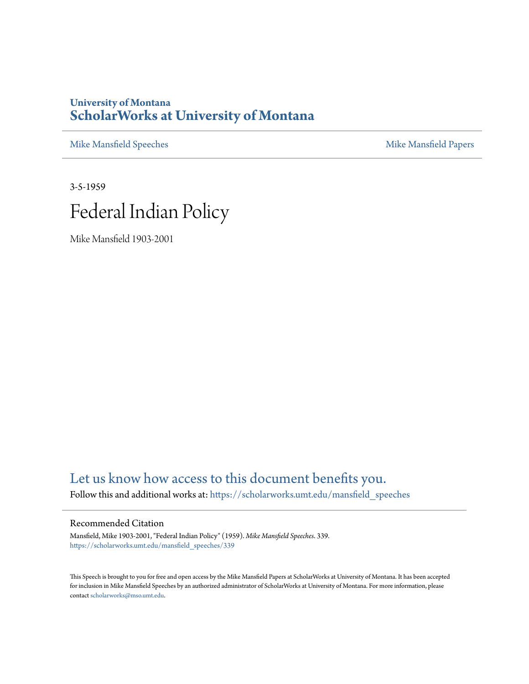## **University of Montana [ScholarWorks at University of Montana](https://scholarworks.umt.edu?utm_source=scholarworks.umt.edu%2Fmansfield_speeches%2F339&utm_medium=PDF&utm_campaign=PDFCoverPages)**

[Mike Mansfield Speeches](https://scholarworks.umt.edu/mansfield_speeches?utm_source=scholarworks.umt.edu%2Fmansfield_speeches%2F339&utm_medium=PDF&utm_campaign=PDFCoverPages) **[Mike Mansfield Papers](https://scholarworks.umt.edu/mike_mansfield_papers?utm_source=scholarworks.umt.edu%2Fmansfield_speeches%2F339&utm_medium=PDF&utm_campaign=PDFCoverPages)** Mike Mansfield Papers

3-5-1959



Mike Mansfield 1903-2001

# [Let us know how access to this document benefits you.](https://goo.gl/forms/s2rGfXOLzz71qgsB2)

Follow this and additional works at: [https://scholarworks.umt.edu/mansfield\\_speeches](https://scholarworks.umt.edu/mansfield_speeches?utm_source=scholarworks.umt.edu%2Fmansfield_speeches%2F339&utm_medium=PDF&utm_campaign=PDFCoverPages)

## Recommended Citation

Mansfield, Mike 1903-2001, "Federal Indian Policy" (1959). *Mike Mansfield Speeches*. 339. [https://scholarworks.umt.edu/mansfield\\_speeches/339](https://scholarworks.umt.edu/mansfield_speeches/339?utm_source=scholarworks.umt.edu%2Fmansfield_speeches%2F339&utm_medium=PDF&utm_campaign=PDFCoverPages)

This Speech is brought to you for free and open access by the Mike Mansfield Papers at ScholarWorks at University of Montana. It has been accepted for inclusion in Mike Mansfield Speeches by an authorized administrator of ScholarWorks at University of Montana. For more information, please contact [scholarworks@mso.umt.edu.](mailto:scholarworks@mso.umt.edu)